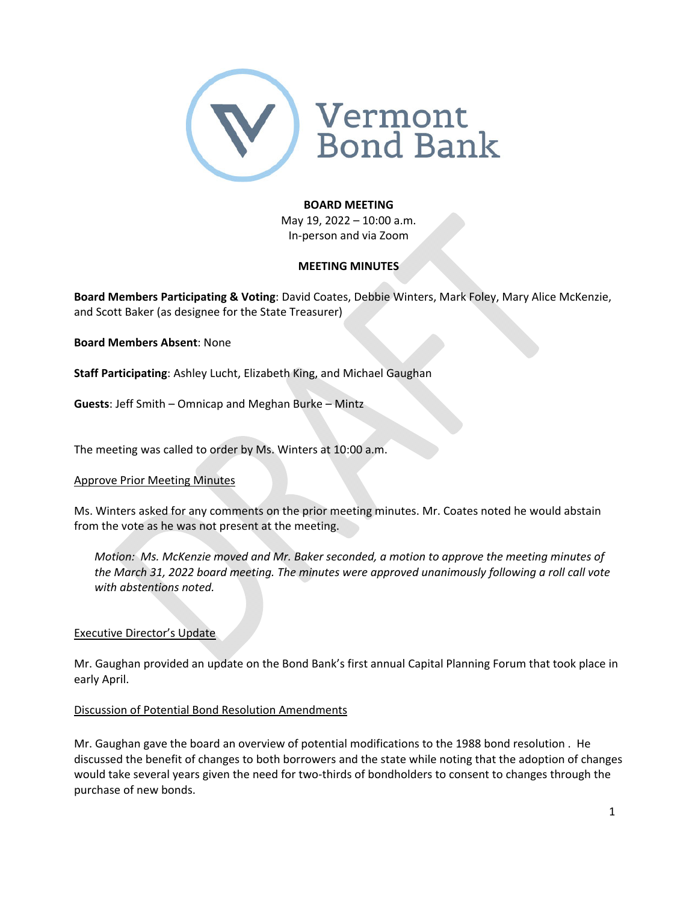

#### **BOARD MEETING**

May 19, 2022 – 10:00 a.m. In‐person and via Zoom

# **MEETING MINUTES**

**Board Members Participating & Voting**: David Coates, Debbie Winters, Mark Foley, Mary Alice McKenzie, and Scott Baker (as designee for the State Treasurer)

**Board Members Absent**: None

**Staff Participating**: Ashley Lucht, Elizabeth King, and Michael Gaughan

**Guests**: Jeff Smith – Omnicap and Meghan Burke – Mintz

The meeting was called to order by Ms. Winters at 10:00 a.m.

#### Approve Prior Meeting Minutes

Ms. Winters asked for any comments on the prior meeting minutes. Mr. Coates noted he would abstain from the vote as he was not present at the meeting.

*Motion: Ms. McKenzie moved and Mr. Baker seconded, a motion to approve the meeting minutes of the March 31, 2022 board meeting. The minutes were approved unanimously following a roll call vote with abstentions noted.*

# Executive Director's Update

Mr. Gaughan provided an update on the Bond Bank's first annual Capital Planning Forum that took place in early April.

# Discussion of Potential Bond Resolution Amendments

Mr. Gaughan gave the board an overview of potential modifications to the 1988 bond resolution . He discussed the benefit of changes to both borrowers and the state while noting that the adoption of changes would take several years given the need for two-thirds of bondholders to consent to changes through the purchase of new bonds.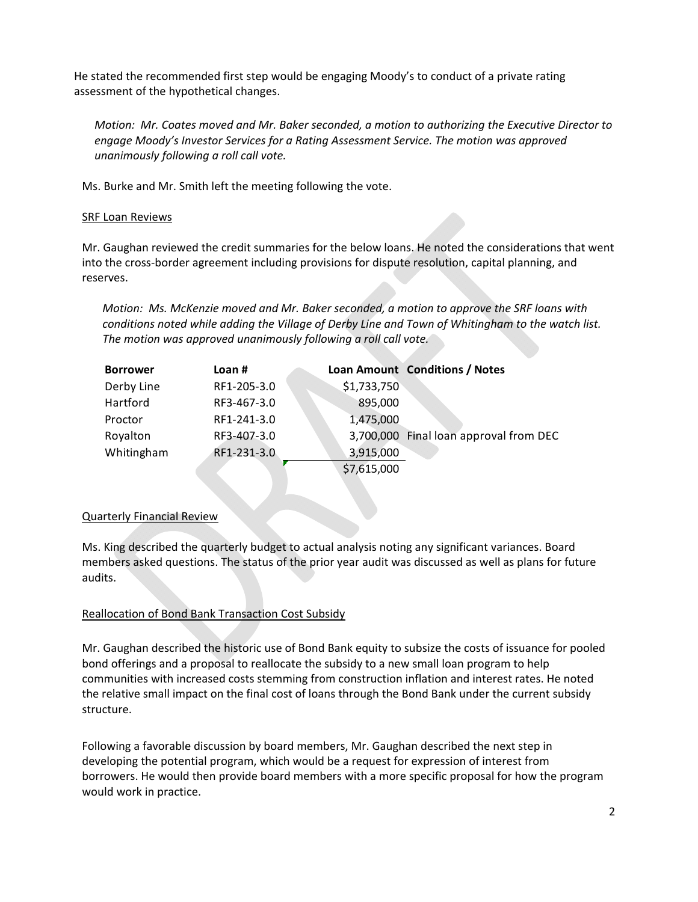He stated the recommended first step would be engaging Moody's to conduct of a private rating assessment of the hypothetical changes.

*Motion: Mr. Coates moved and Mr. Baker seconded, a motion to authorizing the Executive Director to engage Moody's Investor Services for a Rating Assessment Service. The motion was approved unanimously following a roll call vote.*

Ms. Burke and Mr. Smith left the meeting following the vote.

### **SRF Loan Reviews**

Mr. Gaughan reviewed the credit summaries for the below loans. He noted the considerations that went into the cross-border agreement including provisions for dispute resolution, capital planning, and reserves.

*Motion: Ms. McKenzie moved and Mr. Baker seconded, a motion to approve the SRF loans with conditions noted while adding the Village of Derby Line and Town of Whitingham to the watch list. The motion was approved unanimously following a roll call vote.*

| <b>Borrower</b> | Loan $#$    |             | Loan Amount Conditions / Notes         |
|-----------------|-------------|-------------|----------------------------------------|
| Derby Line      | RF1-205-3.0 | \$1,733,750 |                                        |
| Hartford        | RF3-467-3.0 | 895,000     |                                        |
| Proctor         | RF1-241-3.0 | 1,475,000   |                                        |
| Royalton        | RF3-407-3.0 |             | 3,700,000 Final loan approval from DEC |
| Whitingham      | RF1-231-3.0 | 3,915,000   |                                        |
|                 |             | \$7,615,000 |                                        |

#### Quarterly Financial Review

Ms. King described the quarterly budget to actual analysis noting any significant variances. Board members asked questions. The status of the prior year audit was discussed as well as plans for future audits.

# Reallocation of Bond Bank Transaction Cost Subsidy

Mr. Gaughan described the historic use of Bond Bank equity to subsize the costs of issuance for pooled bond offerings and a proposal to reallocate the subsidy to a new small loan program to help communities with increased costs stemming from construction inflation and interest rates. He noted the relative small impact on the final cost of loans through the Bond Bank under the current subsidy structure.

Following a favorable discussion by board members, Mr. Gaughan described the next step in developing the potential program, which would be a request for expression of interest from borrowers. He would then provide board members with a more specific proposal for how the program would work in practice.